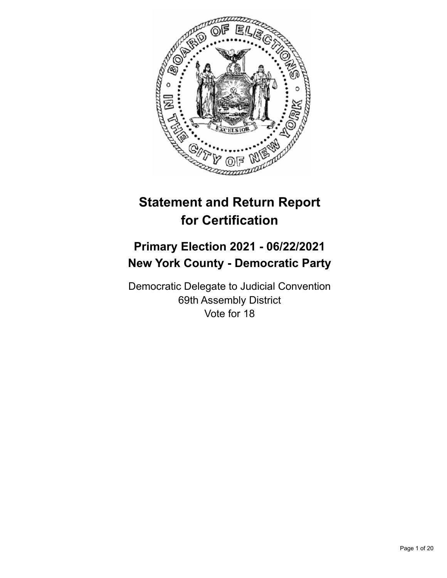

# **Statement and Return Report for Certification**

## **Primary Election 2021 - 06/22/2021 New York County - Democratic Party**

Democratic Delegate to Judicial Convention 69th Assembly District Vote for 18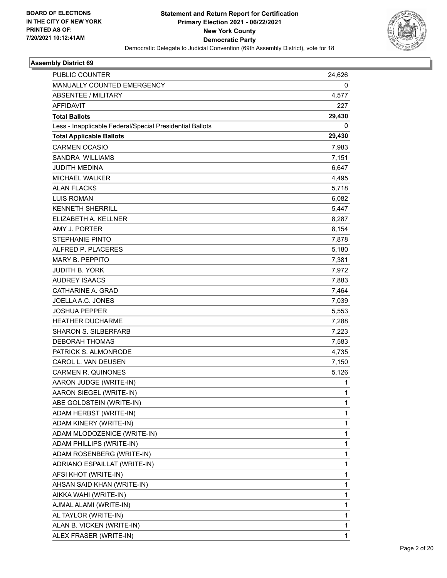

| <b>PUBLIC COUNTER</b>                                    | 24,626       |
|----------------------------------------------------------|--------------|
| MANUALLY COUNTED EMERGENCY                               | 0            |
| <b>ABSENTEE / MILITARY</b>                               | 4,577        |
| <b>AFFIDAVIT</b>                                         | 227          |
| <b>Total Ballots</b>                                     | 29,430       |
| Less - Inapplicable Federal/Special Presidential Ballots | 0            |
| <b>Total Applicable Ballots</b>                          | 29,430       |
| <b>CARMEN OCASIO</b>                                     | 7,983        |
| <b>SANDRA WILLIAMS</b>                                   | 7,151        |
| <b>JUDITH MEDINA</b>                                     | 6,647        |
| <b>MICHAEL WALKER</b>                                    | 4,495        |
| <b>ALAN FLACKS</b>                                       | 5,718        |
| <b>LUIS ROMAN</b>                                        | 6,082        |
| <b>KENNETH SHERRILL</b>                                  | 5,447        |
| ELIZABETH A. KELLNER                                     | 8,287        |
| AMY J. PORTER                                            | 8,154        |
| <b>STEPHANIE PINTO</b>                                   | 7,878        |
| ALFRED P. PLACERES                                       | 5,180        |
| MARY B. PEPPITO                                          | 7,381        |
| <b>JUDITH B. YORK</b>                                    | 7,972        |
| <b>AUDREY ISAACS</b>                                     | 7,883        |
| CATHARINE A. GRAD                                        | 7,464        |
| JOELLA A.C. JONES                                        | 7,039        |
| <b>JOSHUA PEPPER</b>                                     | 5,553        |
| <b>HEATHER DUCHARME</b>                                  | 7,288        |
| <b>SHARON S. SILBERFARB</b>                              | 7,223        |
| <b>DEBORAH THOMAS</b>                                    | 7,583        |
| PATRICK S. ALMONRODE                                     | 4,735        |
| CAROL L. VAN DEUSEN                                      | 7,150        |
| <b>CARMEN R. QUINONES</b>                                | 5,126        |
| AARON JUDGE (WRITE-IN)                                   | 1            |
| AARON SIEGEL (WRITE-IN)                                  | 1            |
| ABE GOLDSTEIN (WRITE-IN)                                 | 1            |
| ADAM HERBST (WRITE-IN)                                   | 1            |
| ADAM KINERY (WRITE-IN)                                   | 1            |
| ADAM MLODOZENICE (WRITE-IN)                              | 1            |
| ADAM PHILLIPS (WRITE-IN)                                 | 1            |
| ADAM ROSENBERG (WRITE-IN)                                | 1            |
| ADRIANO ESPAILLAT (WRITE-IN)                             | 1            |
| AFSI KHOT (WRITE-IN)                                     | 1            |
| AHSAN SAID KHAN (WRITE-IN)                               | 1            |
| AIKKA WAHI (WRITE-IN)                                    | 1            |
| AJMAL ALAMI (WRITE-IN)                                   | 1            |
| AL TAYLOR (WRITE-IN)                                     | 1            |
| ALAN B. VICKEN (WRITE-IN)                                | 1            |
| ALEX FRASER (WRITE-IN)                                   | $\mathbf{1}$ |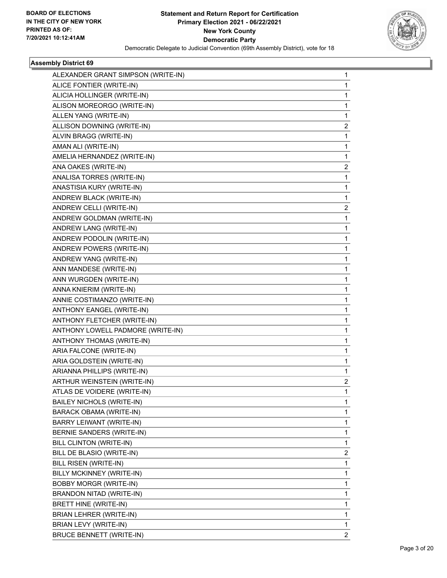

| ALEXANDER GRANT SIMPSON (WRITE-IN) | 1 |
|------------------------------------|---|
| ALICE FONTIER (WRITE-IN)           | 1 |
| ALICIA HOLLINGER (WRITE-IN)        | 1 |
| ALISON MOREORGO (WRITE-IN)         | 1 |
| ALLEN YANG (WRITE-IN)              | 1 |
| ALLISON DOWNING (WRITE-IN)         | 2 |
| ALVIN BRAGG (WRITE-IN)             | 1 |
| AMAN ALI (WRITE-IN)                | 1 |
| AMELIA HERNANDEZ (WRITE-IN)        | 1 |
| ANA OAKES (WRITE-IN)               | 2 |
| ANALISA TORRES (WRITE-IN)          | 1 |
| ANASTISIA KURY (WRITE-IN)          | 1 |
| ANDREW BLACK (WRITE-IN)            | 1 |
| ANDREW CELLI (WRITE-IN)            | 2 |
| ANDREW GOLDMAN (WRITE-IN)          | 1 |
| ANDREW LANG (WRITE-IN)             | 1 |
| ANDREW PODOLIN (WRITE-IN)          | 1 |
| ANDREW POWERS (WRITE-IN)           | 1 |
| ANDREW YANG (WRITE-IN)             | 1 |
| ANN MANDESE (WRITE-IN)             | 1 |
| ANN WURGDEN (WRITE-IN)             | 1 |
| ANNA KNIERIM (WRITE-IN)            | 1 |
| ANNIE COSTIMANZO (WRITE-IN)        | 1 |
| ANTHONY EANGEL (WRITE-IN)          | 1 |
| ANTHONY FLETCHER (WRITE-IN)        | 1 |
| ANTHONY LOWELL PADMORE (WRITE-IN)  | 1 |
| ANTHONY THOMAS (WRITE-IN)          | 1 |
| ARIA FALCONE (WRITE-IN)            | 1 |
| ARIA GOLDSTEIN (WRITE-IN)          | 1 |
| ARIANNA PHILLIPS (WRITE-IN)        | 1 |
| ARTHUR WEINSTEIN (WRITE-IN)        | 2 |
| ATLAS DE VOIDERE (WRITE-IN)        | 1 |
| <b>BAILEY NICHOLS (WRITE-IN)</b>   | 1 |
| <b>BARACK OBAMA (WRITE-IN)</b>     | 1 |
| BARRY LEIWANT (WRITE-IN)           | 1 |
| BERNIE SANDERS (WRITE-IN)          | 1 |
| BILL CLINTON (WRITE-IN)            | 1 |
| BILL DE BLASIO (WRITE-IN)          | 2 |
| BILL RISEN (WRITE-IN)              | 1 |
| BILLY MCKINNEY (WRITE-IN)          | 1 |
| <b>BOBBY MORGR (WRITE-IN)</b>      | 1 |
| BRANDON NITAD (WRITE-IN)           | 1 |
| BRETT HINE (WRITE-IN)              | 1 |
| BRIAN LEHRER (WRITE-IN)            | 1 |
| BRIAN LEVY (WRITE-IN)              | 1 |
| <b>BRUCE BENNETT (WRITE-IN)</b>    | 2 |
|                                    |   |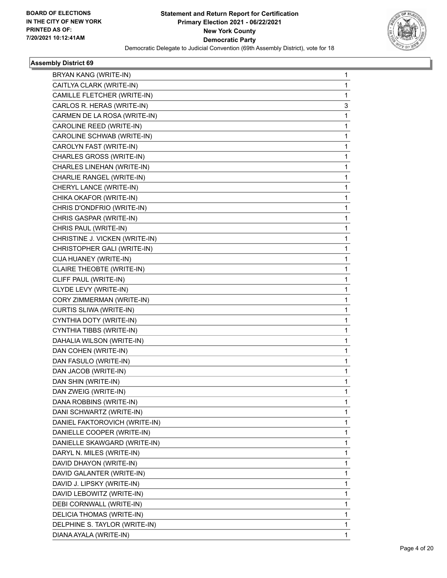

| BRYAN KANG (WRITE-IN)          | 1  |
|--------------------------------|----|
| CAITLYA CLARK (WRITE-IN)       | 1  |
| CAMILLE FLETCHER (WRITE-IN)    | 1  |
| CARLOS R. HERAS (WRITE-IN)     | 3  |
| CARMEN DE LA ROSA (WRITE-IN)   | 1  |
| CAROLINE REED (WRITE-IN)       | 1  |
| CAROLINE SCHWAB (WRITE-IN)     | 1. |
| CAROLYN FAST (WRITE-IN)        | 1  |
| CHARLES GROSS (WRITE-IN)       | 1  |
| CHARLES LINEHAN (WRITE-IN)     | 1. |
| CHARLIE RANGEL (WRITE-IN)      | 1  |
| CHERYL LANCE (WRITE-IN)        | 1  |
| CHIKA OKAFOR (WRITE-IN)        | 1. |
| CHRIS D'ONDFRIO (WRITE-IN)     | 1  |
| CHRIS GASPAR (WRITE-IN)        | 1  |
| CHRIS PAUL (WRITE-IN)          | 1. |
| CHRISTINE J. VICKEN (WRITE-IN) | 1  |
| CHRISTOPHER GALI (WRITE-IN)    | 1  |
| CIJA HUANEY (WRITE-IN)         | 1  |
| CLAIRE THEOBTE (WRITE-IN)      | 1  |
| CLIFF PAUL (WRITE-IN)          | 1  |
| CLYDE LEVY (WRITE-IN)          | 1. |
| CORY ZIMMERMAN (WRITE-IN)      | 1  |
| CURTIS SLIWA (WRITE-IN)        | 1  |
| CYNTHIA DOTY (WRITE-IN)        | 1  |
| CYNTHIA TIBBS (WRITE-IN)       | 1  |
| DAHALIA WILSON (WRITE-IN)      | 1  |
| DAN COHEN (WRITE-IN)           | 1. |
| DAN FASULO (WRITE-IN)          | 1  |
| DAN JACOB (WRITE-IN)           | 1  |
| DAN SHIN (WRITE-IN)            | 1  |
| DAN ZWEIG (WRITE-IN)           | 1  |
| DANA ROBBINS (WRITE-IN)        | 1  |
| DANI SCHWARTZ (WRITE-IN)       | 1. |
| DANIEL FAKTOROVICH (WRITE-IN)  | 1  |
| DANIELLE COOPER (WRITE-IN)     | 1  |
| DANIELLE SKAWGARD (WRITE-IN)   | 1. |
| DARYL N. MILES (WRITE-IN)      | 1  |
| DAVID DHAYON (WRITE-IN)        | 1  |
| DAVID GALANTER (WRITE-IN)      | 1. |
| DAVID J. LIPSKY (WRITE-IN)     | 1  |
| DAVID LEBOWITZ (WRITE-IN)      | 1  |
| DEBI CORNWALL (WRITE-IN)       | 1. |
| DELICIA THOMAS (WRITE-IN)      | 1  |
| DELPHINE S. TAYLOR (WRITE-IN)  | 1  |
| DIANA AYALA (WRITE-IN)         | 1  |
|                                |    |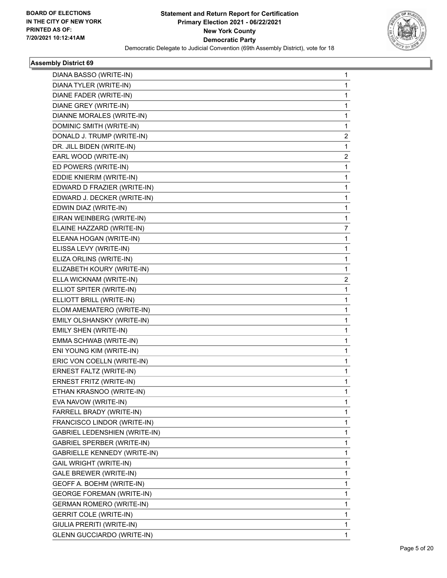

| DIANA BASSO (WRITE-IN)              |                                                                                                                                                                                                                                                                                                                                                                                                                                                                                                                                                                                                                                 |
|-------------------------------------|---------------------------------------------------------------------------------------------------------------------------------------------------------------------------------------------------------------------------------------------------------------------------------------------------------------------------------------------------------------------------------------------------------------------------------------------------------------------------------------------------------------------------------------------------------------------------------------------------------------------------------|
|                                     | 1                                                                                                                                                                                                                                                                                                                                                                                                                                                                                                                                                                                                                               |
| DIANA TYLER (WRITE-IN)              | 1                                                                                                                                                                                                                                                                                                                                                                                                                                                                                                                                                                                                                               |
| DIANE FADER (WRITE-IN)              | 1                                                                                                                                                                                                                                                                                                                                                                                                                                                                                                                                                                                                                               |
|                                     | 1                                                                                                                                                                                                                                                                                                                                                                                                                                                                                                                                                                                                                               |
| DIANNE MORALES (WRITE-IN)           | 1                                                                                                                                                                                                                                                                                                                                                                                                                                                                                                                                                                                                                               |
|                                     | 1                                                                                                                                                                                                                                                                                                                                                                                                                                                                                                                                                                                                                               |
|                                     | 2                                                                                                                                                                                                                                                                                                                                                                                                                                                                                                                                                                                                                               |
|                                     | 1                                                                                                                                                                                                                                                                                                                                                                                                                                                                                                                                                                                                                               |
|                                     | 2                                                                                                                                                                                                                                                                                                                                                                                                                                                                                                                                                                                                                               |
|                                     | 1                                                                                                                                                                                                                                                                                                                                                                                                                                                                                                                                                                                                                               |
|                                     | 1                                                                                                                                                                                                                                                                                                                                                                                                                                                                                                                                                                                                                               |
|                                     | 1                                                                                                                                                                                                                                                                                                                                                                                                                                                                                                                                                                                                                               |
|                                     | 1                                                                                                                                                                                                                                                                                                                                                                                                                                                                                                                                                                                                                               |
|                                     | 1                                                                                                                                                                                                                                                                                                                                                                                                                                                                                                                                                                                                                               |
|                                     | 1                                                                                                                                                                                                                                                                                                                                                                                                                                                                                                                                                                                                                               |
|                                     | 7                                                                                                                                                                                                                                                                                                                                                                                                                                                                                                                                                                                                                               |
|                                     | 1                                                                                                                                                                                                                                                                                                                                                                                                                                                                                                                                                                                                                               |
|                                     | 1                                                                                                                                                                                                                                                                                                                                                                                                                                                                                                                                                                                                                               |
|                                     | 1                                                                                                                                                                                                                                                                                                                                                                                                                                                                                                                                                                                                                               |
|                                     | 1                                                                                                                                                                                                                                                                                                                                                                                                                                                                                                                                                                                                                               |
|                                     | 2                                                                                                                                                                                                                                                                                                                                                                                                                                                                                                                                                                                                                               |
|                                     | 1                                                                                                                                                                                                                                                                                                                                                                                                                                                                                                                                                                                                                               |
|                                     | 1                                                                                                                                                                                                                                                                                                                                                                                                                                                                                                                                                                                                                               |
| ELOM AMEMATERO (WRITE-IN)           | 1                                                                                                                                                                                                                                                                                                                                                                                                                                                                                                                                                                                                                               |
|                                     | 1                                                                                                                                                                                                                                                                                                                                                                                                                                                                                                                                                                                                                               |
|                                     | 1                                                                                                                                                                                                                                                                                                                                                                                                                                                                                                                                                                                                                               |
| EMMA SCHWAB (WRITE-IN)              | 1                                                                                                                                                                                                                                                                                                                                                                                                                                                                                                                                                                                                                               |
| ENI YOUNG KIM (WRITE-IN)            | 1                                                                                                                                                                                                                                                                                                                                                                                                                                                                                                                                                                                                                               |
|                                     | 1                                                                                                                                                                                                                                                                                                                                                                                                                                                                                                                                                                                                                               |
| ERNEST FALTZ (WRITE-IN)             | 1                                                                                                                                                                                                                                                                                                                                                                                                                                                                                                                                                                                                                               |
| ERNEST FRITZ (WRITE-IN)             | 1                                                                                                                                                                                                                                                                                                                                                                                                                                                                                                                                                                                                                               |
| ETHAN KRASNOO (WRITE-IN)            | 1                                                                                                                                                                                                                                                                                                                                                                                                                                                                                                                                                                                                                               |
| EVA NAVOW (WRITE-IN)                | 1                                                                                                                                                                                                                                                                                                                                                                                                                                                                                                                                                                                                                               |
| FARRELL BRADY (WRITE-IN)            | 1                                                                                                                                                                                                                                                                                                                                                                                                                                                                                                                                                                                                                               |
| FRANCISCO LINDOR (WRITE-IN)         | 1                                                                                                                                                                                                                                                                                                                                                                                                                                                                                                                                                                                                                               |
| GABRIEL LEDENSHIEN (WRITE-IN)       | 1                                                                                                                                                                                                                                                                                                                                                                                                                                                                                                                                                                                                                               |
| GABRIEL SPERBER (WRITE-IN)          | 1                                                                                                                                                                                                                                                                                                                                                                                                                                                                                                                                                                                                                               |
| <b>GABRIELLE KENNEDY (WRITE-IN)</b> | 1                                                                                                                                                                                                                                                                                                                                                                                                                                                                                                                                                                                                                               |
| GAIL WRIGHT (WRITE-IN)              | 1                                                                                                                                                                                                                                                                                                                                                                                                                                                                                                                                                                                                                               |
| <b>GALE BREWER (WRITE-IN)</b>       | 1                                                                                                                                                                                                                                                                                                                                                                                                                                                                                                                                                                                                                               |
| GEOFF A. BOEHM (WRITE-IN)           | 1                                                                                                                                                                                                                                                                                                                                                                                                                                                                                                                                                                                                                               |
| <b>GEORGE FOREMAN (WRITE-IN)</b>    | 1                                                                                                                                                                                                                                                                                                                                                                                                                                                                                                                                                                                                                               |
| <b>GERMAN ROMERO (WRITE-IN)</b>     | 1                                                                                                                                                                                                                                                                                                                                                                                                                                                                                                                                                                                                                               |
| <b>GERRIT COLE (WRITE-IN)</b>       | 1                                                                                                                                                                                                                                                                                                                                                                                                                                                                                                                                                                                                                               |
| GIULIA PRERITI (WRITE-IN)           | 1                                                                                                                                                                                                                                                                                                                                                                                                                                                                                                                                                                                                                               |
| <b>GLENN GUCCIARDO (WRITE-IN)</b>   | 1                                                                                                                                                                                                                                                                                                                                                                                                                                                                                                                                                                                                                               |
|                                     | DIANE GREY (WRITE-IN)<br>DOMINIC SMITH (WRITE-IN)<br>DONALD J. TRUMP (WRITE-IN)<br>DR. JILL BIDEN (WRITE-IN)<br>EARL WOOD (WRITE-IN)<br>ED POWERS (WRITE-IN)<br>EDDIE KNIERIM (WRITE-IN)<br>EDWARD D FRAZIER (WRITE-IN)<br>EDWARD J. DECKER (WRITE-IN)<br>EDWIN DIAZ (WRITE-IN)<br>EIRAN WEINBERG (WRITE-IN)<br>ELAINE HAZZARD (WRITE-IN)<br>ELEANA HOGAN (WRITE-IN)<br>ELISSA LEVY (WRITE-IN)<br>ELIZA ORLINS (WRITE-IN)<br>ELIZABETH KOURY (WRITE-IN)<br>ELLA WICKNAM (WRITE-IN)<br>ELLIOT SPITER (WRITE-IN)<br>ELLIOTT BRILL (WRITE-IN)<br>EMILY OLSHANSKY (WRITE-IN)<br>EMILY SHEN (WRITE-IN)<br>ERIC VON COELLN (WRITE-IN) |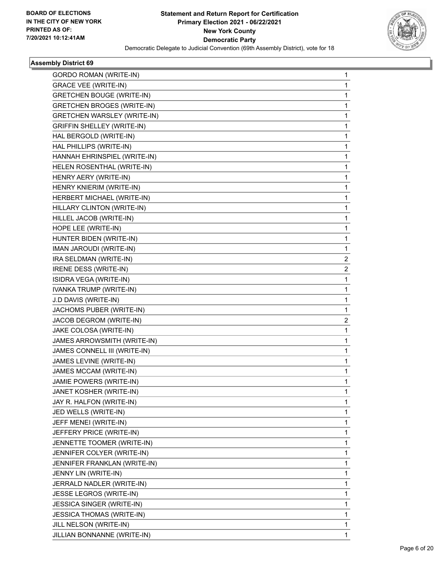

| <b>GORDO ROMAN (WRITE-IN)</b>      | 1                       |
|------------------------------------|-------------------------|
| <b>GRACE VEE (WRITE-IN)</b>        | 1                       |
| GRETCHEN BOUGE (WRITE-IN)          | 1                       |
| <b>GRETCHEN BROGES (WRITE-IN)</b>  | 1                       |
| <b>GRETCHEN WARSLEY (WRITE-IN)</b> | 1                       |
| <b>GRIFFIN SHELLEY (WRITE-IN)</b>  | 1                       |
| HAL BERGOLD (WRITE-IN)             | 1                       |
| HAL PHILLIPS (WRITE-IN)            | 1                       |
| HANNAH EHRINSPIEL (WRITE-IN)       | 1                       |
| HELEN ROSENTHAL (WRITE-IN)         | 1                       |
| HENRY AERY (WRITE-IN)              | 1                       |
| HENRY KNIERIM (WRITE-IN)           | 1                       |
| HERBERT MICHAEL (WRITE-IN)         | 1                       |
| HILLARY CLINTON (WRITE-IN)         | 1                       |
| HILLEL JACOB (WRITE-IN)            | 1                       |
| HOPE LEE (WRITE-IN)                | 1                       |
| HUNTER BIDEN (WRITE-IN)            | 1                       |
| IMAN JAROUDI (WRITE-IN)            | 1                       |
| IRA SELDMAN (WRITE-IN)             | 2                       |
| IRENE DESS (WRITE-IN)              | $\overline{\mathbf{c}}$ |
| ISIDRA VEGA (WRITE-IN)             | 1                       |
| IVANKA TRUMP (WRITE-IN)            | 1                       |
| J.D DAVIS (WRITE-IN)               | 1                       |
| JACHOMS PUBER (WRITE-IN)           | 1                       |
| JACOB DEGROM (WRITE-IN)            | 2                       |
| JAKE COLOSA (WRITE-IN)             | 1                       |
| JAMES ARROWSMITH (WRITE-IN)        | 1                       |
| JAMES CONNELL III (WRITE-IN)       | 1                       |
| JAMES LEVINE (WRITE-IN)            | 1                       |
| JAMES MCCAM (WRITE-IN)             | 1                       |
| JAMIE POWERS (WRITE-IN)            | 1                       |
| JANET KOSHER (WRITE-IN)            | 1                       |
| JAY R. HALFON (WRITE-IN)           | 1                       |
| JED WELLS (WRITE-IN)               | 1                       |
| JEFF MENEI (WRITE-IN)              | 1                       |
| JEFFERY PRICE (WRITE-IN)           | 1                       |
| JENNETTE TOOMER (WRITE-IN)         | 1                       |
| JENNIFER COLYER (WRITE-IN)         | 1                       |
| JENNIFER FRANKLAN (WRITE-IN)       | 1                       |
| JENNY LIN (WRITE-IN)               | 1                       |
| JERRALD NADLER (WRITE-IN)          | 1                       |
| <b>JESSE LEGROS (WRITE-IN)</b>     | 1                       |
| JESSICA SINGER (WRITE-IN)          | 1                       |
| <b>JESSICA THOMAS (WRITE-IN)</b>   | 1                       |
| JILL NELSON (WRITE-IN)             | 1                       |
| JILLIAN BONNANNE (WRITE-IN)        | 1                       |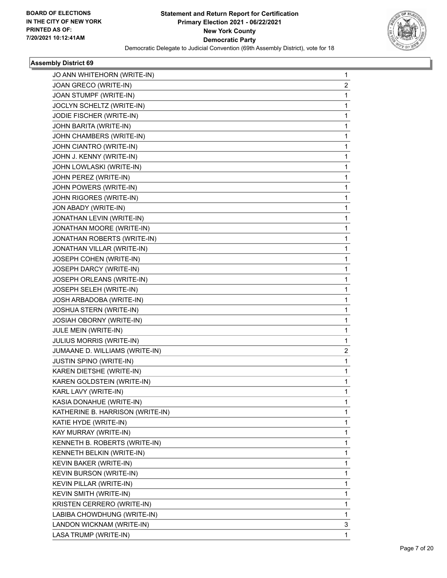

| JO ANN WHITEHORN (WRITE-IN)      | 1 |
|----------------------------------|---|
| JOAN GRECO (WRITE-IN)            | 2 |
| JOAN STUMPF (WRITE-IN)           | 1 |
| JOCLYN SCHELTZ (WRITE-IN)        | 1 |
| JODIE FISCHER (WRITE-IN)         | 1 |
| JOHN BARITA (WRITE-IN)           | 1 |
| JOHN CHAMBERS (WRITE-IN)         | 1 |
| JOHN CIANTRO (WRITE-IN)          | 1 |
| JOHN J. KENNY (WRITE-IN)         | 1 |
| JOHN LOWLASKI (WRITE-IN)         | 1 |
| JOHN PEREZ (WRITE-IN)            | 1 |
| JOHN POWERS (WRITE-IN)           | 1 |
| JOHN RIGORES (WRITE-IN)          | 1 |
| JON ABADY (WRITE-IN)             | 1 |
| JONATHAN LEVIN (WRITE-IN)        | 1 |
| JONATHAN MOORE (WRITE-IN)        | 1 |
| JONATHAN ROBERTS (WRITE-IN)      | 1 |
| JONATHAN VILLAR (WRITE-IN)       | 1 |
| JOSEPH COHEN (WRITE-IN)          | 1 |
| JOSEPH DARCY (WRITE-IN)          | 1 |
| JOSEPH ORLEANS (WRITE-IN)        | 1 |
| JOSEPH SELEH (WRITE-IN)          | 1 |
| JOSH ARBADOBA (WRITE-IN)         | 1 |
| JOSHUA STERN (WRITE-IN)          | 1 |
| JOSIAH OBORNY (WRITE-IN)         | 1 |
| JULE MEIN (WRITE-IN)             | 1 |
| <b>JULIUS MORRIS (WRITE-IN)</b>  | 1 |
| JUMAANE D. WILLIAMS (WRITE-IN)   | 2 |
| <b>JUSTIN SPINO (WRITE-IN)</b>   | 1 |
| KAREN DIETSHE (WRITE-IN)         | 1 |
| KAREN GOLDSTEIN (WRITE-IN)       | 1 |
| KARL LAVY (WRITE-IN)             | 1 |
| KASIA DONAHUE (WRITE-IN)         | 1 |
| KATHERINE B. HARRISON (WRITE-IN) | 1 |
| KATIE HYDE (WRITE-IN)            | 1 |
| KAY MURRAY (WRITE-IN)            | 1 |
| KENNETH B. ROBERTS (WRITE-IN)    | 1 |
| KENNETH BELKIN (WRITE-IN)        | 1 |
| KEVIN BAKER (WRITE-IN)           | 1 |
| <b>KEVIN BURSON (WRITE-IN)</b>   | 1 |
| KEVIN PILLAR (WRITE-IN)          | 1 |
| KEVIN SMITH (WRITE-IN)           | 1 |
| KRISTEN CERRERO (WRITE-IN)       | 1 |
| LABIBA CHOWDHUNG (WRITE-IN)      | 1 |
| LANDON WICKNAM (WRITE-IN)        | 3 |
| LASA TRUMP (WRITE-IN)            | 1 |
|                                  |   |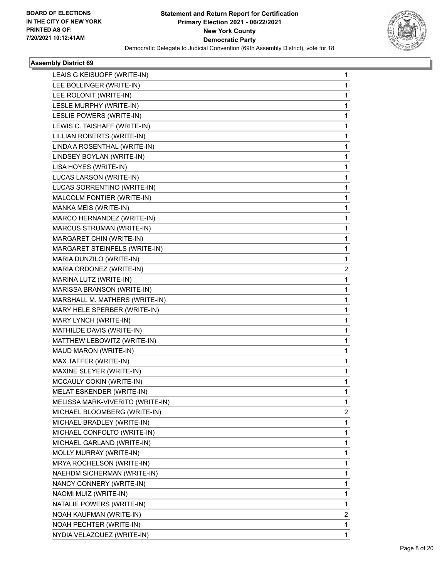

| LEAIS G KEISUOFF (WRITE-IN)      | 1 |
|----------------------------------|---|
| LEE BOLLINGER (WRITE-IN)         | 1 |
| LEE ROLONIT (WRITE-IN)           | 1 |
| LESLE MURPHY (WRITE-IN)          | 1 |
| LESLIE POWERS (WRITE-IN)         | 1 |
| LEWIS C. TAISHAFF (WRITE-IN)     | 1 |
| LILLIAN ROBERTS (WRITE-IN)       | 1 |
| LINDA A ROSENTHAL (WRITE-IN)     | 1 |
| LINDSEY BOYLAN (WRITE-IN)        | 1 |
| LISA HOYES (WRITE-IN)            | 1 |
| LUCAS LARSON (WRITE-IN)          | 1 |
| LUCAS SORRENTINO (WRITE-IN)      | 1 |
| MALCOLM FONTIER (WRITE-IN)       | 1 |
| MANKA MEIS (WRITE-IN)            | 1 |
| MARCO HERNANDEZ (WRITE-IN)       | 1 |
| MARCUS STRUMAN (WRITE-IN)        | 1 |
| MARGARET CHIN (WRITE-IN)         | 1 |
| MARGARET STEINFELS (WRITE-IN)    | 1 |
| MARIA DUNZILO (WRITE-IN)         | 1 |
| MARIA ORDONEZ (WRITE-IN)         | 2 |
| MARINA LUTZ (WRITE-IN)           | 1 |
| MARISSA BRANSON (WRITE-IN)       | 1 |
| MARSHALL M. MATHERS (WRITE-IN)   | 1 |
| MARY HELE SPERBER (WRITE-IN)     | 1 |
| MARY LYNCH (WRITE-IN)            | 1 |
| MATHILDE DAVIS (WRITE-IN)        | 1 |
| MATTHEW LEBOWITZ (WRITE-IN)      | 1 |
| MAUD MARON (WRITE-IN)            | 1 |
| MAX TAFFER (WRITE-IN)            | 1 |
| MAXINE SLEYER (WRITE-IN)         | 1 |
| MCCAULY COKIN (WRITE-IN)         | 1 |
| MELAT ESKENDER (WRITE-IN)        | 1 |
| MELISSA MARK-VIVERITO (WRITE-IN) | 1 |
| MICHAEL BLOOMBERG (WRITE-IN)     | 2 |
| MICHAEL BRADLEY (WRITE-IN)       | 1 |
| MICHAEL CONFOLTO (WRITE-IN)      | 1 |
| MICHAEL GARLAND (WRITE-IN)       | 1 |
| MOLLY MURRAY (WRITE-IN)          | 1 |
| MRYA ROCHELSON (WRITE-IN)        | 1 |
| NAEHDM SICHERMAN (WRITE-IN)      | 1 |
| NANCY CONNERY (WRITE-IN)         | 1 |
| NAOMI MUIZ (WRITE-IN)            | 1 |
| NATALIE POWERS (WRITE-IN)        | 1 |
| NOAH KAUFMAN (WRITE-IN)          | 2 |
| NOAH PECHTER (WRITE-IN)          | 1 |
| NYDIA VELAZQUEZ (WRITE-IN)       | 1 |
|                                  |   |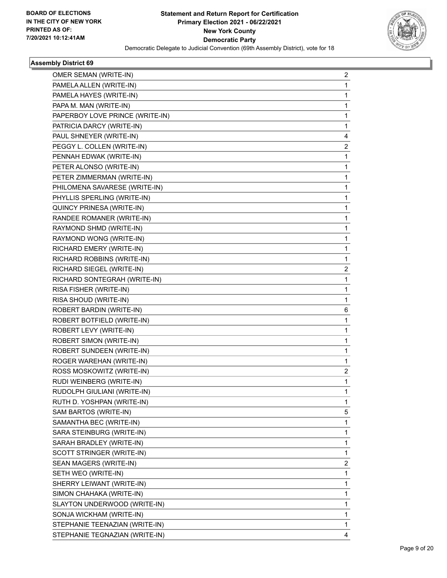

| OMER SEMAN (WRITE-IN)           | 2                       |
|---------------------------------|-------------------------|
| PAMELA ALLEN (WRITE-IN)         | 1                       |
| PAMELA HAYES (WRITE-IN)         | 1                       |
| PAPA M. MAN (WRITE-IN)          | 1.                      |
| PAPERBOY LOVE PRINCE (WRITE-IN) | 1                       |
| PATRICIA DARCY (WRITE-IN)       | 1                       |
| PAUL SHNEYER (WRITE-IN)         | 4                       |
| PEGGY L. COLLEN (WRITE-IN)      | $\overline{\mathbf{c}}$ |
| PENNAH EDWAK (WRITE-IN)         | 1                       |
| PETER ALONSO (WRITE-IN)         | 1.                      |
| PETER ZIMMERMAN (WRITE-IN)      | 1                       |
| PHILOMENA SAVARESE (WRITE-IN)   | 1                       |
| PHYLLIS SPERLING (WRITE-IN)     | $\mathbf{1}$            |
| QUINCY PRINESA (WRITE-IN)       | 1                       |
| RANDEE ROMANER (WRITE-IN)       | 1                       |
| RAYMOND SHMD (WRITE-IN)         | 1.                      |
| RAYMOND WONG (WRITE-IN)         | 1                       |
| RICHARD EMERY (WRITE-IN)        | 1                       |
| RICHARD ROBBINS (WRITE-IN)      | 1.                      |
| RICHARD SIEGEL (WRITE-IN)       | $\overline{\mathbf{c}}$ |
| RICHARD SONTEGRAH (WRITE-IN)    | 1                       |
| RISA FISHER (WRITE-IN)          | 1.                      |
| RISA SHOUD (WRITE-IN)           | 1                       |
| ROBERT BARDIN (WRITE-IN)        | 6                       |
| ROBERT BOTFIELD (WRITE-IN)      | $\mathbf{1}$            |
| ROBERT LEVY (WRITE-IN)          | 1                       |
| ROBERT SIMON (WRITE-IN)         | 1                       |
| ROBERT SUNDEEN (WRITE-IN)       | 1.                      |
| ROGER WAREHAN (WRITE-IN)        | 1                       |
| ROSS MOSKOWITZ (WRITE-IN)       | $\overline{2}$          |
| RUDI WEINBERG (WRITE-IN)        | $\mathbf{1}$            |
| RUDOLPH GIULIANI (WRITE-IN)     | 1                       |
| RUTH D. YOSHPAN (WRITE-IN)      | 1                       |
| SAM BARTOS (WRITE-IN)           | 5                       |
| SAMANTHA BEC (WRITE-IN)         | 1                       |
| SARA STEINBURG (WRITE-IN)       | 1                       |
| SARAH BRADLEY (WRITE-IN)        | 1.                      |
| SCOTT STRINGER (WRITE-IN)       | 1                       |
| SEAN MAGERS (WRITE-IN)          | $\overline{2}$          |
| SETH WEO (WRITE-IN)             | $\mathbf{1}$            |
| SHERRY LEIWANT (WRITE-IN)       | 1                       |
| SIMON CHAHAKA (WRITE-IN)        | 1                       |
| SLAYTON UNDERWOOD (WRITE-IN)    | 1.                      |
| SONJA WICKHAM (WRITE-IN)        | 1                       |
| STEPHANIE TEENAZIAN (WRITE-IN)  | 1                       |
| STEPHANIE TEGNAZIAN (WRITE-IN)  | 4                       |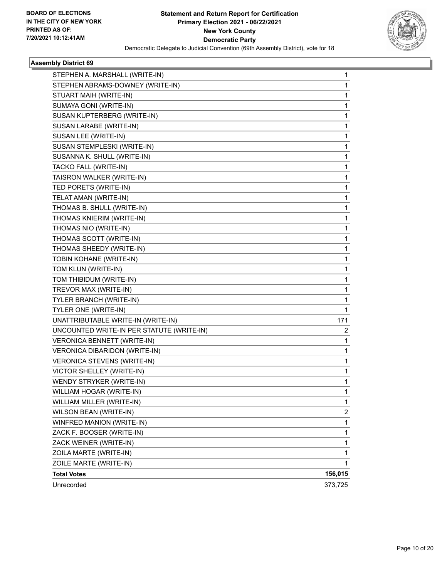

| STEPHEN A. MARSHALL (WRITE-IN)            | 1              |
|-------------------------------------------|----------------|
| STEPHEN ABRAMS-DOWNEY (WRITE-IN)          | $\mathbf{1}$   |
| STUART MAIH (WRITE-IN)                    | 1              |
| SUMAYA GONI (WRITE-IN)                    | 1              |
| SUSAN KUPTERBERG (WRITE-IN)               | 1              |
| SUSAN LARABE (WRITE-IN)                   | 1              |
| SUSAN LEE (WRITE-IN)                      | 1              |
| SUSAN STEMPLESKI (WRITE-IN)               | 1              |
| SUSANNA K. SHULL (WRITE-IN)               | 1              |
| TACKO FALL (WRITE-IN)                     | 1              |
| TAISRON WALKER (WRITE-IN)                 | 1              |
| TED PORETS (WRITE-IN)                     | 1              |
| TELAT AMAN (WRITE-IN)                     | 1              |
| THOMAS B. SHULL (WRITE-IN)                | 1              |
| THOMAS KNIERIM (WRITE-IN)                 | 1              |
| THOMAS NIO (WRITE-IN)                     | 1              |
| THOMAS SCOTT (WRITE-IN)                   | 1              |
| THOMAS SHEEDY (WRITE-IN)                  | 1              |
| TOBIN KOHANE (WRITE-IN)                   | 1              |
| TOM KLUN (WRITE-IN)                       | $\mathbf{1}$   |
| TOM THIBIDUM (WRITE-IN)                   | 1              |
| TREVOR MAX (WRITE-IN)                     | 1              |
| TYLER BRANCH (WRITE-IN)                   | 1              |
| TYLER ONE (WRITE-IN)                      | 1              |
| UNATTRIBUTABLE WRITE-IN (WRITE-IN)        | 171            |
| UNCOUNTED WRITE-IN PER STATUTE (WRITE-IN) | 2              |
| VERONICA BENNETT (WRITE-IN)               | 1              |
| VERONICA DIBARIDON (WRITE-IN)             | 1              |
| VERONICA STEVENS (WRITE-IN)               | 1              |
| VICTOR SHELLEY (WRITE-IN)                 | 1              |
| WENDY STRYKER (WRITE-IN)                  | 1              |
| WILLIAM HOGAR (WRITE-IN)                  | $\mathbf{1}$   |
| WILLIAM MILLER (WRITE-IN)                 | 1              |
| WILSON BEAN (WRITE-IN)                    | $\overline{c}$ |
| WINFRED MANION (WRITE-IN)                 | $\mathbf{1}$   |
| ZACK F. BOOSER (WRITE-IN)                 | $\mathbf 1$    |
| ZACK WEINER (WRITE-IN)                    | $\mathbf{1}$   |
| ZOILA MARTE (WRITE-IN)                    | $\mathbf{1}$   |
| ZOILE MARTE (WRITE-IN)                    | 1              |
| <b>Total Votes</b>                        | 156,015        |
| Unrecorded                                | 373,725        |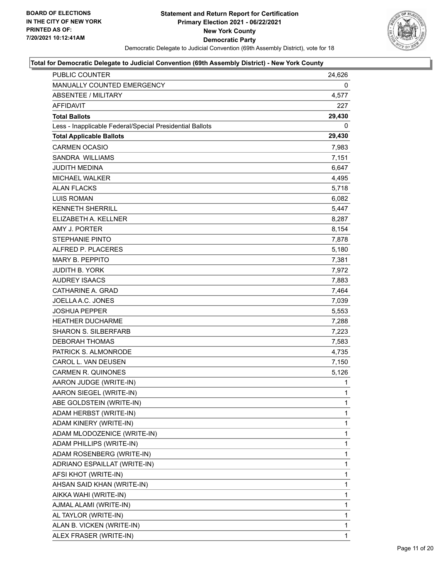

| <b>PUBLIC COUNTER</b>                                    | 24,626       |
|----------------------------------------------------------|--------------|
| MANUALLY COUNTED EMERGENCY                               | 0            |
| <b>ABSENTEE / MILITARY</b>                               | 4,577        |
| <b>AFFIDAVIT</b>                                         | 227          |
| <b>Total Ballots</b>                                     | 29,430       |
| Less - Inapplicable Federal/Special Presidential Ballots | 0            |
| <b>Total Applicable Ballots</b>                          | 29,430       |
| <b>CARMEN OCASIO</b>                                     | 7,983        |
| SANDRA WILLIAMS                                          | 7,151        |
| <b>JUDITH MEDINA</b>                                     | 6,647        |
| <b>MICHAEL WALKER</b>                                    | 4,495        |
| <b>ALAN FLACKS</b>                                       | 5,718        |
| <b>LUIS ROMAN</b>                                        | 6,082        |
| <b>KENNETH SHERRILL</b>                                  | 5,447        |
| ELIZABETH A. KELLNER                                     | 8,287        |
| AMY J. PORTER                                            | 8,154        |
| <b>STEPHANIE PINTO</b>                                   | 7,878        |
| ALFRED P. PLACERES                                       | 5,180        |
| <b>MARY B. PEPPITO</b>                                   | 7,381        |
| <b>JUDITH B. YORK</b>                                    | 7,972        |
| <b>AUDREY ISAACS</b>                                     | 7,883        |
| CATHARINE A. GRAD                                        | 7,464        |
| JOELLA A.C. JONES                                        | 7,039        |
| <b>JOSHUA PEPPER</b>                                     | 5,553        |
| <b>HEATHER DUCHARME</b>                                  | 7,288        |
| <b>SHARON S. SILBERFARB</b>                              | 7,223        |
| <b>DEBORAH THOMAS</b>                                    | 7,583        |
| PATRICK S. ALMONRODE                                     | 4,735        |
| CAROL L. VAN DEUSEN                                      | 7,150        |
| <b>CARMEN R. QUINONES</b>                                | 5,126        |
| AARON JUDGE (WRITE-IN)                                   | 1            |
| AARON SIEGEL (WRITE-IN)                                  | $\mathbf{1}$ |
| ABE GOLDSTEIN (WRITE-IN)                                 | 1            |
| ADAM HERBST (WRITE-IN)                                   | 1            |
| ADAM KINERY (WRITE-IN)                                   | 1            |
| ADAM MLODOZENICE (WRITE-IN)                              | 1            |
| ADAM PHILLIPS (WRITE-IN)                                 | 1            |
| ADAM ROSENBERG (WRITE-IN)                                | 1            |
| ADRIANO ESPAILLAT (WRITE-IN)                             | 1            |
| AFSI KHOT (WRITE-IN)                                     | 1            |
| AHSAN SAID KHAN (WRITE-IN)                               | 1            |
| AIKKA WAHI (WRITE-IN)                                    | 1            |
| AJMAL ALAMI (WRITE-IN)                                   | 1            |
| AL TAYLOR (WRITE-IN)                                     | 1            |
| ALAN B. VICKEN (WRITE-IN)                                | 1            |
| ALEX FRASER (WRITE-IN)                                   | 1            |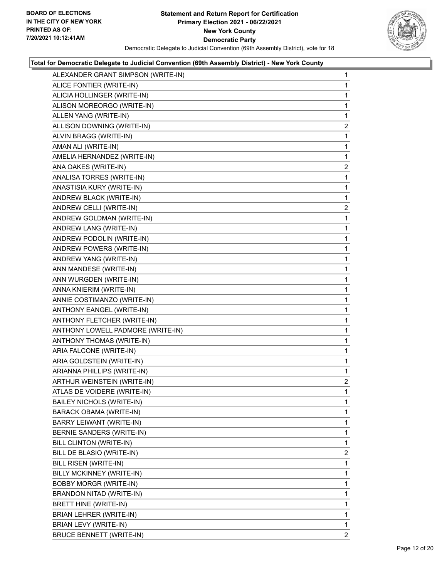

| ALEXANDER GRANT SIMPSON (WRITE-IN) | 1              |
|------------------------------------|----------------|
| ALICE FONTIER (WRITE-IN)           | $\mathbf{1}$   |
| ALICIA HOLLINGER (WRITE-IN)        | 1              |
| ALISON MOREORGO (WRITE-IN)         | 1              |
| ALLEN YANG (WRITE-IN)              | 1              |
| ALLISON DOWNING (WRITE-IN)         | 2              |
| ALVIN BRAGG (WRITE-IN)             | 1              |
| AMAN ALI (WRITE-IN)                | 1              |
| AMELIA HERNANDEZ (WRITE-IN)        | 1              |
| ANA OAKES (WRITE-IN)               | $\overline{c}$ |
| ANALISA TORRES (WRITE-IN)          | 1              |
| ANASTISIA KURY (WRITE-IN)          | 1              |
| ANDREW BLACK (WRITE-IN)            | $\mathbf{1}$   |
| ANDREW CELLI (WRITE-IN)            | $\overline{a}$ |
| ANDREW GOLDMAN (WRITE-IN)          | 1              |
| ANDREW LANG (WRITE-IN)             | 1              |
| ANDREW PODOLIN (WRITE-IN)          | 1              |
| ANDREW POWERS (WRITE-IN)           | 1              |
| ANDREW YANG (WRITE-IN)             | $\mathbf{1}$   |
| ANN MANDESE (WRITE-IN)             | 1              |
| ANN WURGDEN (WRITE-IN)             | 1              |
| ANNA KNIERIM (WRITE-IN)            | 1              |
| ANNIE COSTIMANZO (WRITE-IN)        | 1              |
| ANTHONY EANGEL (WRITE-IN)          | 1              |
| ANTHONY FLETCHER (WRITE-IN)        | $\mathbf{1}$   |
| ANTHONY LOWELL PADMORE (WRITE-IN)  | 1              |
| ANTHONY THOMAS (WRITE-IN)          | 1              |
| ARIA FALCONE (WRITE-IN)            | 1              |
| ARIA GOLDSTEIN (WRITE-IN)          | 1              |
| ARIANNA PHILLIPS (WRITE-IN)        | 1              |
| ARTHUR WEINSTEIN (WRITE-IN)        | $\overline{2}$ |
| ATLAS DE VOIDERE (WRITE-IN)        | 1              |
| <b>BAILEY NICHOLS (WRITE-IN)</b>   | 1              |
| <b>BARACK OBAMA (WRITE-IN)</b>     | 1              |
| BARRY LEIWANT (WRITE-IN)           | 1              |
| BERNIE SANDERS (WRITE-IN)          | 1              |
| BILL CLINTON (WRITE-IN)            | 1              |
| BILL DE BLASIO (WRITE-IN)          | 2              |
| BILL RISEN (WRITE-IN)              | 1              |
| BILLY MCKINNEY (WRITE-IN)          | 1              |
| <b>BOBBY MORGR (WRITE-IN)</b>      | 1              |
| BRANDON NITAD (WRITE-IN)           | 1              |
| BRETT HINE (WRITE-IN)              | 1              |
| BRIAN LEHRER (WRITE-IN)            | 1              |
| BRIAN LEVY (WRITE-IN)              | 1              |
| <b>BRUCE BENNETT (WRITE-IN)</b>    | 2              |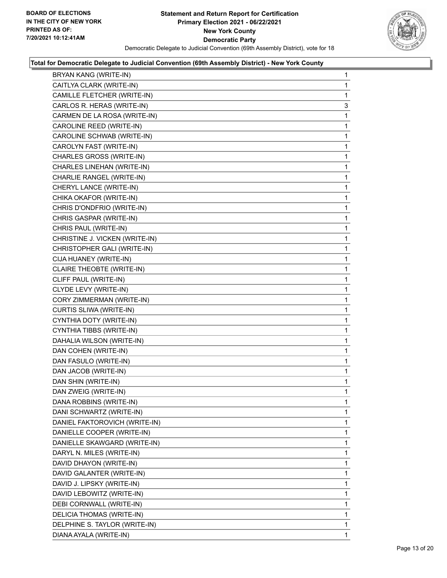

| BRYAN KANG (WRITE-IN)            | 1 |
|----------------------------------|---|
| CAITLYA CLARK (WRITE-IN)         | 1 |
| CAMILLE FLETCHER (WRITE-IN)      | 1 |
| CARLOS R. HERAS (WRITE-IN)       | 3 |
| CARMEN DE LA ROSA (WRITE-IN)     | 1 |
| CAROLINE REED (WRITE-IN)         | 1 |
| CAROLINE SCHWAB (WRITE-IN)       | 1 |
| CAROLYN FAST (WRITE-IN)          | 1 |
| CHARLES GROSS (WRITE-IN)         | 1 |
| CHARLES LINEHAN (WRITE-IN)       | 1 |
| CHARLIE RANGEL (WRITE-IN)        | 1 |
| CHERYL LANCE (WRITE-IN)          | 1 |
| CHIKA OKAFOR (WRITE-IN)          | 1 |
| CHRIS D'ONDFRIO (WRITE-IN)       | 1 |
| CHRIS GASPAR (WRITE-IN)          | 1 |
| CHRIS PAUL (WRITE-IN)            | 1 |
| CHRISTINE J. VICKEN (WRITE-IN)   | 1 |
| CHRISTOPHER GALI (WRITE-IN)      | 1 |
| CIJA HUANEY (WRITE-IN)           | 1 |
| <b>CLAIRE THEOBTE (WRITE-IN)</b> | 1 |
| CLIFF PAUL (WRITE-IN)            | 1 |
| CLYDE LEVY (WRITE-IN)            | 1 |
| CORY ZIMMERMAN (WRITE-IN)        | 1 |
| CURTIS SLIWA (WRITE-IN)          | 1 |
| CYNTHIA DOTY (WRITE-IN)          | 1 |
| CYNTHIA TIBBS (WRITE-IN)         | 1 |
| DAHALIA WILSON (WRITE-IN)        | 1 |
| DAN COHEN (WRITE-IN)             | 1 |
| DAN FASULO (WRITE-IN)            | 1 |
| DAN JACOB (WRITE-IN)             | 1 |
| DAN SHIN (WRITE-IN)              | 1 |
| DAN ZWEIG (WRITE-IN)             | 1 |
| DANA ROBBINS (WRITE-IN)          | 1 |
| DANI SCHWARTZ (WRITE-IN)         | 1 |
| DANIEL FAKTOROVICH (WRITE-IN)    | 1 |
| DANIELLE COOPER (WRITE-IN)       | 1 |
| DANIELLE SKAWGARD (WRITE-IN)     | 1 |
| DARYL N. MILES (WRITE-IN)        | 1 |
| DAVID DHAYON (WRITE-IN)          | 1 |
| DAVID GALANTER (WRITE-IN)        | 1 |
| DAVID J. LIPSKY (WRITE-IN)       | 1 |
| DAVID LEBOWITZ (WRITE-IN)        | 1 |
| DEBI CORNWALL (WRITE-IN)         | 1 |
| DELICIA THOMAS (WRITE-IN)        | 1 |
| DELPHINE S. TAYLOR (WRITE-IN)    | 1 |
| DIANA AYALA (WRITE-IN)           | 1 |
|                                  |   |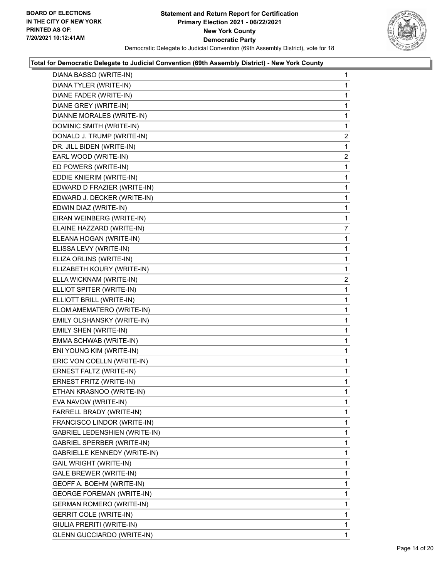

| DIANA BASSO (WRITE-IN)            | $\mathbf{1}$   |
|-----------------------------------|----------------|
| DIANA TYLER (WRITE-IN)            | 1              |
| DIANE FADER (WRITE-IN)            | 1              |
| DIANE GREY (WRITE-IN)             | 1              |
| DIANNE MORALES (WRITE-IN)         | 1              |
| DOMINIC SMITH (WRITE-IN)          | 1              |
| DONALD J. TRUMP (WRITE-IN)        | $\overline{c}$ |
| DR. JILL BIDEN (WRITE-IN)         | 1              |
| EARL WOOD (WRITE-IN)              | $\overline{2}$ |
| ED POWERS (WRITE-IN)              | 1              |
| EDDIE KNIERIM (WRITE-IN)          | 1              |
| EDWARD D FRAZIER (WRITE-IN)       | 1              |
| EDWARD J. DECKER (WRITE-IN)       | 1              |
| EDWIN DIAZ (WRITE-IN)             | 1              |
| EIRAN WEINBERG (WRITE-IN)         | 1              |
| ELAINE HAZZARD (WRITE-IN)         | 7              |
| ELEANA HOGAN (WRITE-IN)           | 1              |
| ELISSA LEVY (WRITE-IN)            | 1              |
| ELIZA ORLINS (WRITE-IN)           | 1              |
| ELIZABETH KOURY (WRITE-IN)        | 1              |
| ELLA WICKNAM (WRITE-IN)           | $\overline{2}$ |
| ELLIOT SPITER (WRITE-IN)          | 1              |
| ELLIOTT BRILL (WRITE-IN)          | 1              |
| ELOM AMEMATERO (WRITE-IN)         | 1              |
| EMILY OLSHANSKY (WRITE-IN)        | 1              |
| EMILY SHEN (WRITE-IN)             | 1              |
| EMMA SCHWAB (WRITE-IN)            | 1              |
| ENI YOUNG KIM (WRITE-IN)          | 1              |
| ERIC VON COELLN (WRITE-IN)        | 1              |
| ERNEST FALTZ (WRITE-IN)           | 1              |
| ERNEST FRITZ (WRITE-IN)           | 1              |
| ETHAN KRASNOO (WRITE-IN)          | 1              |
| EVA NAVOW (WRITE-IN)              | 1              |
| FARRELL BRADY (WRITE-IN)          | 1              |
| FRANCISCO LINDOR (WRITE-IN)       | 1              |
| GABRIEL LEDENSHIEN (WRITE-IN)     | 1              |
| GABRIEL SPERBER (WRITE-IN)        | 1              |
| GABRIELLE KENNEDY (WRITE-IN)      | 1              |
| GAIL WRIGHT (WRITE-IN)            | 1              |
| GALE BREWER (WRITE-IN)            | 1              |
| GEOFF A. BOEHM (WRITE-IN)         | 1              |
| <b>GEORGE FOREMAN (WRITE-IN)</b>  | 1              |
| <b>GERMAN ROMERO (WRITE-IN)</b>   | 1              |
| <b>GERRIT COLE (WRITE-IN)</b>     | 1              |
| GIULIA PRERITI (WRITE-IN)         | 1              |
| <b>GLENN GUCCIARDO (WRITE-IN)</b> | 1.             |
|                                   |                |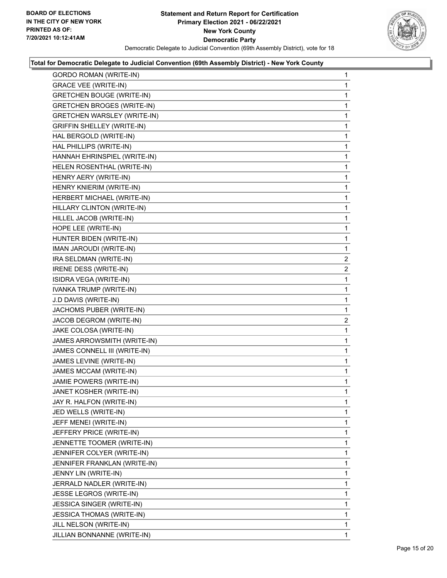

| <b>GORDO ROMAN (WRITE-IN)</b>      | 1              |
|------------------------------------|----------------|
| <b>GRACE VEE (WRITE-IN)</b>        | 1              |
| <b>GRETCHEN BOUGE (WRITE-IN)</b>   | 1              |
| <b>GRETCHEN BROGES (WRITE-IN)</b>  | 1              |
| <b>GRETCHEN WARSLEY (WRITE-IN)</b> | 1              |
| <b>GRIFFIN SHELLEY (WRITE-IN)</b>  | 1              |
| HAL BERGOLD (WRITE-IN)             | $\mathbf{1}$   |
| HAL PHILLIPS (WRITE-IN)            | 1              |
| HANNAH EHRINSPIEL (WRITE-IN)       | 1              |
| HELEN ROSENTHAL (WRITE-IN)         | $\mathbf{1}$   |
| HENRY AERY (WRITE-IN)              | 1              |
| HENRY KNIERIM (WRITE-IN)           | 1              |
| HERBERT MICHAEL (WRITE-IN)         | $\mathbf{1}$   |
| HILLARY CLINTON (WRITE-IN)         | 1              |
| HILLEL JACOB (WRITE-IN)            | 1              |
| HOPE LEE (WRITE-IN)                | $\mathbf{1}$   |
| HUNTER BIDEN (WRITE-IN)            | 1              |
| IMAN JAROUDI (WRITE-IN)            | 1              |
| IRA SELDMAN (WRITE-IN)             | $\overline{2}$ |
| IRENE DESS (WRITE-IN)              | $\overline{2}$ |
| ISIDRA VEGA (WRITE-IN)             | 1              |
| IVANKA TRUMP (WRITE-IN)            | 1              |
| J.D DAVIS (WRITE-IN)               | 1              |
| JACHOMS PUBER (WRITE-IN)           | 1              |
| JACOB DEGROM (WRITE-IN)            | $\overline{2}$ |
| JAKE COLOSA (WRITE-IN)             | 1              |
| JAMES ARROWSMITH (WRITE-IN)        | 1              |
| JAMES CONNELL III (WRITE-IN)       | 1              |
| JAMES LEVINE (WRITE-IN)            | 1              |
| JAMES MCCAM (WRITE-IN)             | 1              |
| JAMIE POWERS (WRITE-IN)            | $\mathbf{1}$   |
| JANET KOSHER (WRITE-IN)            | 1              |
| JAY R. HALFON (WRITE-IN)           | 1              |
| JED WELLS (WRITE-IN)               | 1              |
| JEFF MENEI (WRITE-IN)              | 1              |
| JEFFERY PRICE (WRITE-IN)           | 1              |
| JENNETTE TOOMER (WRITE-IN)         | 1              |
| JENNIFER COLYER (WRITE-IN)         | 1              |
| JENNIFER FRANKLAN (WRITE-IN)       | 1              |
| JENNY LIN (WRITE-IN)               | 1              |
| JERRALD NADLER (WRITE-IN)          | 1              |
| JESSE LEGROS (WRITE-IN)            | 1              |
| JESSICA SINGER (WRITE-IN)          | 1              |
| <b>JESSICA THOMAS (WRITE-IN)</b>   | 1              |
| JILL NELSON (WRITE-IN)             | 1              |
| JILLIAN BONNANNE (WRITE-IN)        | 1              |
|                                    |                |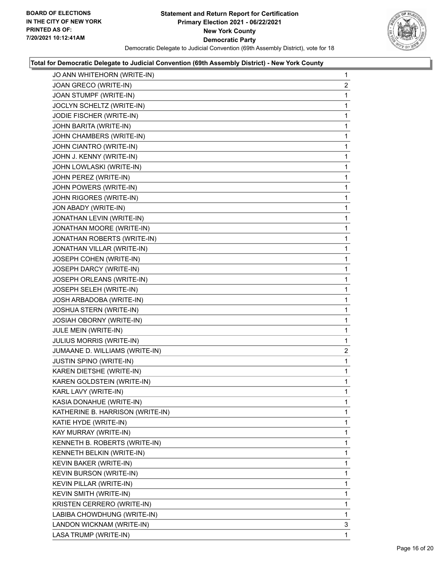

| JO ANN WHITEHORN (WRITE-IN)      | $\mathbf{1}$   |
|----------------------------------|----------------|
| JOAN GRECO (WRITE-IN)            | $\overline{2}$ |
| JOAN STUMPF (WRITE-IN)           | 1              |
| JOCLYN SCHELTZ (WRITE-IN)        | 1              |
| JODIE FISCHER (WRITE-IN)         | 1              |
| JOHN BARITA (WRITE-IN)           | 1              |
| JOHN CHAMBERS (WRITE-IN)         | 1              |
| JOHN CIANTRO (WRITE-IN)          | 1              |
| JOHN J. KENNY (WRITE-IN)         | 1              |
| JOHN LOWLASKI (WRITE-IN)         | 1              |
| JOHN PEREZ (WRITE-IN)            | 1              |
| JOHN POWERS (WRITE-IN)           | 1              |
| JOHN RIGORES (WRITE-IN)          | 1              |
| JON ABADY (WRITE-IN)             | 1              |
| JONATHAN LEVIN (WRITE-IN)        | 1              |
| JONATHAN MOORE (WRITE-IN)        | 1              |
| JONATHAN ROBERTS (WRITE-IN)      | 1              |
| JONATHAN VILLAR (WRITE-IN)       | 1              |
| JOSEPH COHEN (WRITE-IN)          | 1              |
| JOSEPH DARCY (WRITE-IN)          | 1              |
| JOSEPH ORLEANS (WRITE-IN)        | 1              |
| JOSEPH SELEH (WRITE-IN)          | 1              |
| JOSH ARBADOBA (WRITE-IN)         | 1              |
| JOSHUA STERN (WRITE-IN)          | 1              |
| <b>JOSIAH OBORNY (WRITE-IN)</b>  | 1              |
| JULE MEIN (WRITE-IN)             | 1              |
| JULIUS MORRIS (WRITE-IN)         | 1              |
| JUMAANE D. WILLIAMS (WRITE-IN)   | $\overline{2}$ |
| <b>JUSTIN SPINO (WRITE-IN)</b>   | 1              |
| KAREN DIETSHE (WRITE-IN)         | 1              |
| KAREN GOLDSTEIN (WRITE-IN)       | 1              |
| KARL LAVY (WRITE-IN)             | 1              |
| KASIA DONAHUE (WRITE-IN)         | 1              |
| KATHERINE B. HARRISON (WRITE-IN) | 1              |
| KATIE HYDE (WRITE-IN)            | 1              |
| KAY MURRAY (WRITE-IN)            | 1              |
| KENNETH B. ROBERTS (WRITE-IN)    | 1              |
| KENNETH BELKIN (WRITE-IN)        | 1              |
| KEVIN BAKER (WRITE-IN)           | 1              |
| <b>KEVIN BURSON (WRITE-IN)</b>   | 1              |
| KEVIN PILLAR (WRITE-IN)          | 1              |
| KEVIN SMITH (WRITE-IN)           | 1              |
| KRISTEN CERRERO (WRITE-IN)       | 1              |
| LABIBA CHOWDHUNG (WRITE-IN)      | 1              |
| LANDON WICKNAM (WRITE-IN)        | 3              |
| LASA TRUMP (WRITE-IN)            | 1              |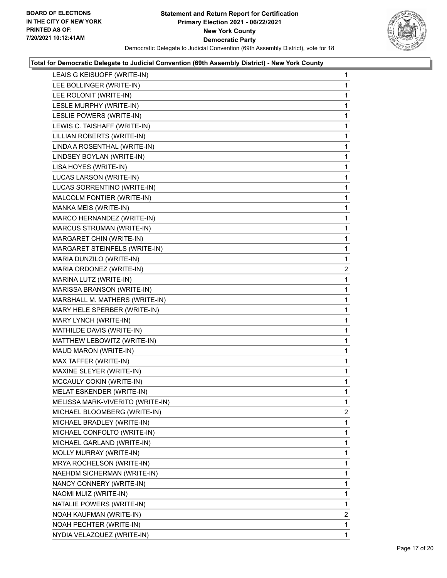

| LEAIS G KEISUOFF (WRITE-IN)      | $\mathbf{1}$   |
|----------------------------------|----------------|
| LEE BOLLINGER (WRITE-IN)         | 1              |
| LEE ROLONIT (WRITE-IN)           | 1              |
| LESLE MURPHY (WRITE-IN)          | 1              |
| LESLIE POWERS (WRITE-IN)         | 1              |
| LEWIS C. TAISHAFF (WRITE-IN)     | 1              |
| LILLIAN ROBERTS (WRITE-IN)       | 1              |
| LINDA A ROSENTHAL (WRITE-IN)     | 1              |
| LINDSEY BOYLAN (WRITE-IN)        | 1              |
| LISA HOYES (WRITE-IN)            | 1              |
| LUCAS LARSON (WRITE-IN)          | 1              |
| LUCAS SORRENTINO (WRITE-IN)      | 1              |
| MALCOLM FONTIER (WRITE-IN)       | 1              |
| MANKA MEIS (WRITE-IN)            | 1              |
| MARCO HERNANDEZ (WRITE-IN)       | 1              |
| MARCUS STRUMAN (WRITE-IN)        | 1              |
| MARGARET CHIN (WRITE-IN)         | 1              |
| MARGARET STEINFELS (WRITE-IN)    | 1              |
| MARIA DUNZILO (WRITE-IN)         | 1              |
| MARIA ORDONEZ (WRITE-IN)         | $\overline{2}$ |
| MARINA LUTZ (WRITE-IN)           | 1              |
| MARISSA BRANSON (WRITE-IN)       | 1              |
| MARSHALL M. MATHERS (WRITE-IN)   | 1              |
| MARY HELE SPERBER (WRITE-IN)     | 1              |
| MARY LYNCH (WRITE-IN)            | 1              |
| MATHILDE DAVIS (WRITE-IN)        | 1              |
| MATTHEW LEBOWITZ (WRITE-IN)      | 1              |
| MAUD MARON (WRITE-IN)            | 1              |
| MAX TAFFER (WRITE-IN)            | 1              |
| MAXINE SLEYER (WRITE-IN)         | 1              |
| MCCAULY COKIN (WRITE-IN)         | 1              |
| MELAT ESKENDER (WRITE-IN)        | 1              |
| MELISSA MARK-VIVERITO (WRITE-IN) | 1              |
| MICHAEL BLOOMBERG (WRITE-IN)     | 2              |
| MICHAEL BRADLEY (WRITE-IN)       | 1              |
| MICHAEL CONFOLTO (WRITE-IN)      | 1              |
| MICHAEL GARLAND (WRITE-IN)       | 1              |
| MOLLY MURRAY (WRITE-IN)          | 1              |
| MRYA ROCHELSON (WRITE-IN)        | 1              |
| NAEHDM SICHERMAN (WRITE-IN)      | 1              |
| NANCY CONNERY (WRITE-IN)         | 1              |
| NAOMI MUIZ (WRITE-IN)            | 1              |
| NATALIE POWERS (WRITE-IN)        | 1              |
| NOAH KAUFMAN (WRITE-IN)          | 2              |
| NOAH PECHTER (WRITE-IN)          | 1              |
| NYDIA VELAZQUEZ (WRITE-IN)       | 1.             |
|                                  |                |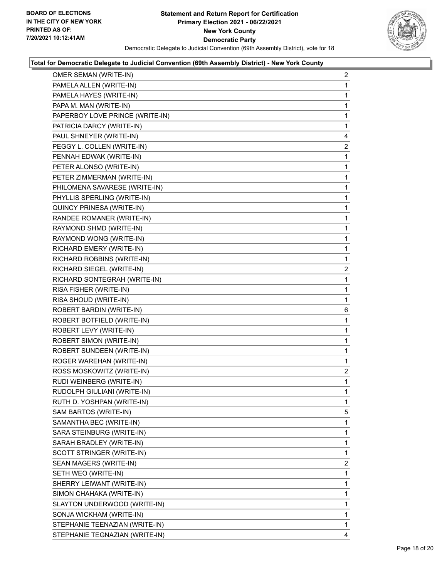

| OMER SEMAN (WRITE-IN)           | $\overline{2}$ |
|---------------------------------|----------------|
| PAMELA ALLEN (WRITE-IN)         | 1              |
| PAMELA HAYES (WRITE-IN)         | 1              |
| PAPA M. MAN (WRITE-IN)          | 1              |
| PAPERBOY LOVE PRINCE (WRITE-IN) | 1              |
| PATRICIA DARCY (WRITE-IN)       | 1              |
| PAUL SHNEYER (WRITE-IN)         | 4              |
| PEGGY L. COLLEN (WRITE-IN)      | 2              |
| PENNAH EDWAK (WRITE-IN)         | 1              |
| PETER ALONSO (WRITE-IN)         | 1              |
| PETER ZIMMERMAN (WRITE-IN)      | 1              |
| PHILOMENA SAVARESE (WRITE-IN)   | 1              |
| PHYLLIS SPERLING (WRITE-IN)     | 1              |
| QUINCY PRINESA (WRITE-IN)       | 1              |
| RANDEE ROMANER (WRITE-IN)       | $\mathbf{1}$   |
| RAYMOND SHMD (WRITE-IN)         | 1              |
| RAYMOND WONG (WRITE-IN)         | 1              |
| RICHARD EMERY (WRITE-IN)        | 1              |
| RICHARD ROBBINS (WRITE-IN)      | 1              |
| RICHARD SIEGEL (WRITE-IN)       | 2              |
| RICHARD SONTEGRAH (WRITE-IN)    | 1              |
| RISA FISHER (WRITE-IN)          | 1              |
| RISA SHOUD (WRITE-IN)           | 1              |
| ROBERT BARDIN (WRITE-IN)        | 6              |
| ROBERT BOTFIELD (WRITE-IN)      | 1              |
| ROBERT LEVY (WRITE-IN)          | 1              |
| ROBERT SIMON (WRITE-IN)         | 1              |
| ROBERT SUNDEEN (WRITE-IN)       | 1              |
| ROGER WAREHAN (WRITE-IN)        | 1              |
| ROSS MOSKOWITZ (WRITE-IN)       | $\overline{a}$ |
| RUDI WEINBERG (WRITE-IN)        | 1              |
| RUDOLPH GIULIANI (WRITE-IN)     | 1              |
| RUTH D. YOSHPAN (WRITE-IN)      | 1              |
| SAM BARTOS (WRITE-IN)           | 5              |
| SAMANTHA BEC (WRITE-IN)         | 1              |
| SARA STEINBURG (WRITE-IN)       | 1              |
| SARAH BRADLEY (WRITE-IN)        | 1              |
| SCOTT STRINGER (WRITE-IN)       | 1              |
| SEAN MAGERS (WRITE-IN)          | $\overline{2}$ |
| SETH WEO (WRITE-IN)             | 1              |
| SHERRY LEIWANT (WRITE-IN)       | 1              |
| SIMON CHAHAKA (WRITE-IN)        | 1              |
| SLAYTON UNDERWOOD (WRITE-IN)    | 1              |
| SONJA WICKHAM (WRITE-IN)        | 1              |
| STEPHANIE TEENAZIAN (WRITE-IN)  | 1              |
| STEPHANIE TEGNAZIAN (WRITE-IN)  | 4              |
|                                 |                |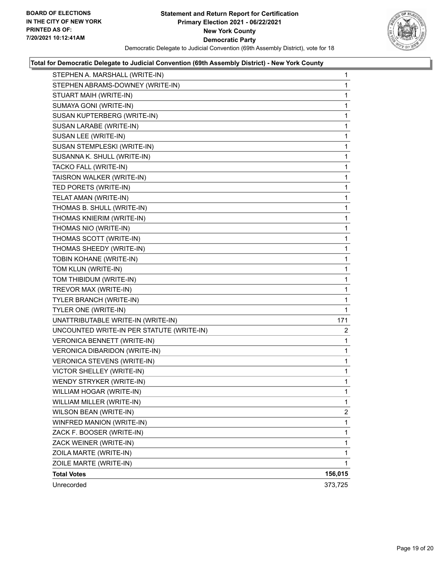

| STEPHEN A. MARSHALL (WRITE-IN)            | 1              |
|-------------------------------------------|----------------|
| STEPHEN ABRAMS-DOWNEY (WRITE-IN)          | 1              |
| STUART MAIH (WRITE-IN)                    | 1              |
| SUMAYA GONI (WRITE-IN)                    | 1              |
| SUSAN KUPTERBERG (WRITE-IN)               | 1              |
| SUSAN LARABE (WRITE-IN)                   | 1              |
| SUSAN LEE (WRITE-IN)                      | 1              |
| SUSAN STEMPLESKI (WRITE-IN)               | 1              |
| SUSANNA K. SHULL (WRITE-IN)               | 1              |
| TACKO FALL (WRITE-IN)                     | 1              |
| TAISRON WALKER (WRITE-IN)                 | 1              |
| TED PORETS (WRITE-IN)                     | 1              |
| TELAT AMAN (WRITE-IN)                     | 1              |
| THOMAS B. SHULL (WRITE-IN)                | 1              |
| THOMAS KNIERIM (WRITE-IN)                 | 1              |
| THOMAS NIO (WRITE-IN)                     | 1              |
| THOMAS SCOTT (WRITE-IN)                   | 1              |
| THOMAS SHEEDY (WRITE-IN)                  | 1              |
| TOBIN KOHANE (WRITE-IN)                   | 1              |
| TOM KLUN (WRITE-IN)                       | 1              |
| TOM THIBIDUM (WRITE-IN)                   | 1              |
| TREVOR MAX (WRITE-IN)                     | 1              |
| TYLER BRANCH (WRITE-IN)                   | 1              |
| TYLER ONE (WRITE-IN)                      | $\mathbf 1$    |
| UNATTRIBUTABLE WRITE-IN (WRITE-IN)        | 171            |
| UNCOUNTED WRITE-IN PER STATUTE (WRITE-IN) | 2              |
| VERONICA BENNETT (WRITE-IN)               | 1              |
| VERONICA DIBARIDON (WRITE-IN)             | 1              |
| VERONICA STEVENS (WRITE-IN)               | 1              |
| <b>VICTOR SHELLEY (WRITE-IN)</b>          | 1              |
| WENDY STRYKER (WRITE-IN)                  | 1              |
| WILLIAM HOGAR (WRITE-IN)                  | 1              |
| WILLIAM MILLER (WRITE-IN)                 | 1              |
| WILSON BEAN (WRITE-IN)                    | $\overline{2}$ |
| WINFRED MANION (WRITE-IN)                 | 1              |
| ZACK F. BOOSER (WRITE-IN)                 | 1              |
| ZACK WEINER (WRITE-IN)                    | 1              |
| ZOILA MARTE (WRITE-IN)                    | 1              |
| ZOILE MARTE (WRITE-IN)                    | 1              |
| <b>Total Votes</b>                        | 156,015        |
| Unrecorded                                | 373,725        |